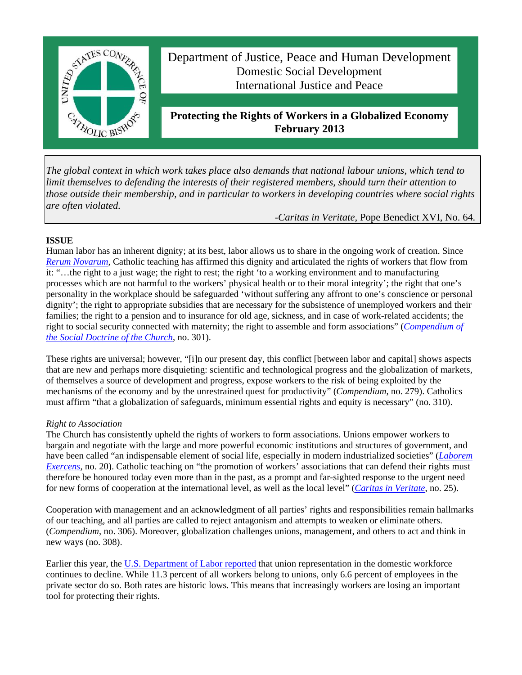

*The global context in which work takes place also demands that national labour unions, which tend to limit themselves to defending the interests of their registered members, should turn their attention to those outside their membership, and in particular to workers in developing countries where social rights are often violated.* 

*-Caritas in Veritate,* Pope Benedict XVI, No. 64*.*

# **ISSUE**

Human labor has an inherent dignity; at its best, labor allows us to share in the ongoing work of creation. Since *Rerum Novarum*, Catholic teaching has affirmed this dignity and articulated the rights of workers that flow from it: "…the right to a just wage; the right to rest; the right 'to a working environment and to manufacturing processes which are not harmful to the workers' physical health or to their moral integrity'; the right that one's personality in the workplace should be safeguarded 'without suffering any affront to one's conscience or personal dignity'; the right to appropriate subsidies that are necessary for the subsistence of unemployed workers and their families; the right to a pension and to insurance for old age, sickness, and in case of work-related accidents; the right to social security connected with maternity; the right to assemble and form associations" (*Compendium of the Social Doctrine of the Church*, no. 301).

These rights are universal; however, "[i]n our present day, this conflict [between labor and capital] shows aspects that are new and perhaps more disquieting: scientific and technological progress and the globalization of markets, of themselves a source of development and progress, expose workers to the risk of being exploited by the mechanisms of the economy and by the unrestrained quest for productivity" (*Compendium*, no. 279). Catholics must affirm "that a globalization of safeguards, minimum essential rights and equity is necessary" (no. 310).

## *Right to Association*

The Church has consistently upheld the rights of workers to form associations. Unions empower workers to bargain and negotiate with the large and more powerful economic institutions and structures of government, and have been called "an indispensable element of social life, especially in modern industrialized societies" (*Laborem Exercens*, no. 20). Catholic teaching on "the promotion of workers' associations that can defend their rights must therefore be honoured today even more than in the past, as a prompt and far-sighted response to the urgent need for new forms of cooperation at the international level, as well as the local level" (*Caritas in Veritate*, no. 25).

Cooperation with management and an acknowledgment of all parties' rights and responsibilities remain hallmarks of our teaching, and all parties are called to reject antagonism and attempts to weaken or eliminate others. (*Compendium*, no. 306). Moreover, globalization challenges unions, management, and others to act and think in new ways (no. 308).

Earlier this year, the U.S. Department of Labor reported that union representation in the domestic workforce continues to decline. While 11.3 percent of all workers belong to unions, only 6.6 percent of employees in the private sector do so. Both rates are historic lows. This means that increasingly workers are losing an important tool for protecting their rights.